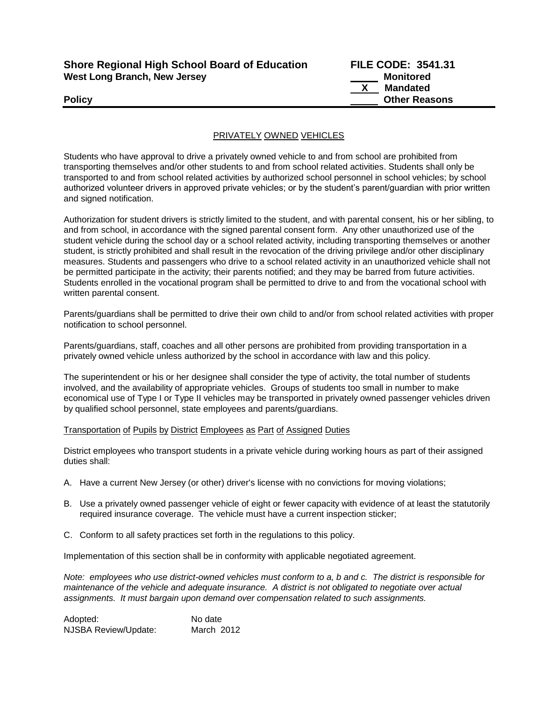| <b>Shore Regional High School Board of Education</b> |  |
|------------------------------------------------------|--|
| West Long Branch, New Jersey                         |  |

**Shore Regional High School Board of Education FILE CODE: 3541.31 Monitored X Mandated Policy Other Reasons**

## PRIVATELY OWNED VEHICLES

Students who have approval to drive a privately owned vehicle to and from school are prohibited from transporting themselves and/or other students to and from school related activities. Students shall only be transported to and from school related activities by authorized school personnel in school vehicles; by school authorized volunteer drivers in approved private vehicles; or by the student's parent/guardian with prior written and signed notification.

Authorization for student drivers is strictly limited to the student, and with parental consent, his or her sibling, to and from school, in accordance with the signed parental consent form. Any other unauthorized use of the student vehicle during the school day or a school related activity, including transporting themselves or another student, is strictly prohibited and shall result in the revocation of the driving privilege and/or other disciplinary measures. Students and passengers who drive to a school related activity in an unauthorized vehicle shall not be permitted participate in the activity; their parents notified; and they may be barred from future activities. Students enrolled in the vocational program shall be permitted to drive to and from the vocational school with written parental consent.

Parents/guardians shall be permitted to drive their own child to and/or from school related activities with proper notification to school personnel.

Parents/guardians, staff, coaches and all other persons are prohibited from providing transportation in a privately owned vehicle unless authorized by the school in accordance with law and this policy.

The superintendent or his or her designee shall consider the type of activity, the total number of students involved, and the availability of appropriate vehicles. Groups of students too small in number to make economical use of Type I or Type II vehicles may be transported in privately owned passenger vehicles driven by qualified school personnel, state employees and parents/guardians.

Transportation of Pupils by District Employees as Part of Assigned Duties

District employees who transport students in a private vehicle during working hours as part of their assigned duties shall:

- A. Have a current New Jersey (or other) driver's license with no convictions for moving violations;
- B. Use a privately owned passenger vehicle of eight or fewer capacity with evidence of at least the statutorily required insurance coverage. The vehicle must have a current inspection sticker;
- C. Conform to all safety practices set forth in the regulations to this policy.

Implementation of this section shall be in conformity with applicable negotiated agreement.

*Note: employees who use district-owned vehicles must conform to a, b and c. The district is responsible for maintenance of the vehicle and adequate insurance. A district is not obligated to negotiate over actual assignments. It must bargain upon demand over compensation related to such assignments.*

Adopted: No date NJSBA Review/Update: March 2012